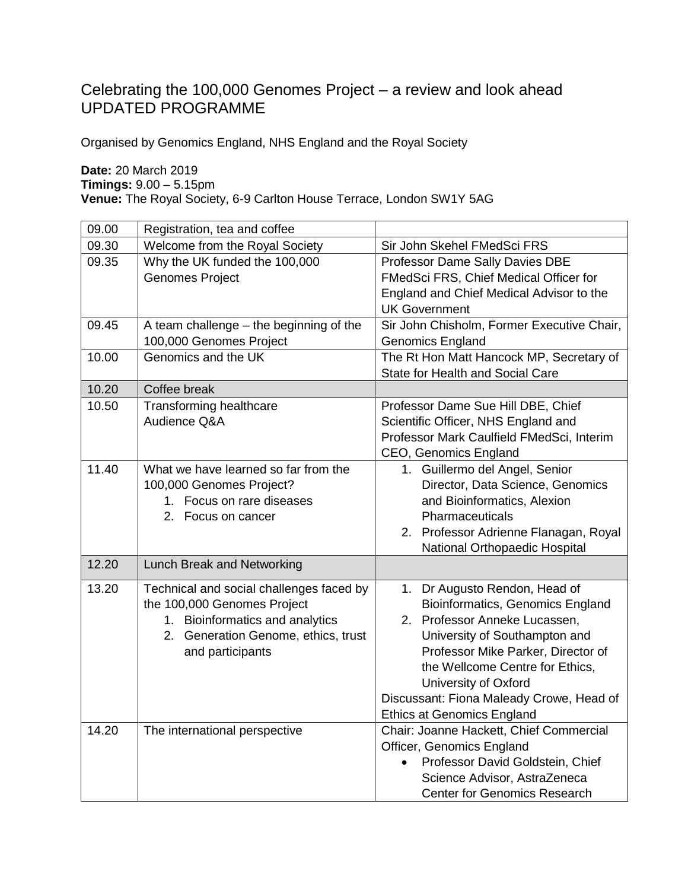## Celebrating the 100,000 Genomes Project – a review and look ahead UPDATED PROGRAMME

Organised by Genomics England, NHS England and the Royal Society

**Date:** 20 March 2019

**Timings:** 9.00 – 5.15pm

**Venue:** The Royal Society, 6-9 Carlton House Terrace, London SW1Y 5AG

| 09.00 | Registration, tea and coffee              |                                            |
|-------|-------------------------------------------|--------------------------------------------|
| 09.30 | Welcome from the Royal Society            | Sir John Skehel FMedSci FRS                |
| 09.35 | Why the UK funded the 100,000             | <b>Professor Dame Sally Davies DBE</b>     |
|       | <b>Genomes Project</b>                    | FMedSci FRS, Chief Medical Officer for     |
|       |                                           | England and Chief Medical Advisor to the   |
|       |                                           | <b>UK Government</b>                       |
| 09.45 | A team challenge $-$ the beginning of the | Sir John Chisholm, Former Executive Chair, |
|       | 100,000 Genomes Project                   | <b>Genomics England</b>                    |
| 10.00 | Genomics and the UK                       | The Rt Hon Matt Hancock MP, Secretary of   |
|       |                                           | <b>State for Health and Social Care</b>    |
| 10.20 | Coffee break                              |                                            |
| 10.50 | Transforming healthcare                   | Professor Dame Sue Hill DBE, Chief         |
|       | Audience Q&A                              | Scientific Officer, NHS England and        |
|       |                                           | Professor Mark Caulfield FMedSci, Interim  |
|       |                                           | CEO, Genomics England                      |
| 11.40 | What we have learned so far from the      | 1. Guillermo del Angel, Senior             |
|       | 100,000 Genomes Project?                  | Director, Data Science, Genomics           |
|       | 1. Focus on rare diseases                 | and Bioinformatics, Alexion                |
|       | 2. Focus on cancer                        | Pharmaceuticals                            |
|       |                                           | 2. Professor Adrienne Flanagan, Royal      |
|       |                                           | National Orthopaedic Hospital              |
| 12.20 | Lunch Break and Networking                |                                            |
| 13.20 | Technical and social challenges faced by  | 1. Dr Augusto Rendon, Head of              |
|       | the 100,000 Genomes Project               | Bioinformatics, Genomics England           |
|       | 1. Bioinformatics and analytics           | 2. Professor Anneke Lucassen,              |
|       | 2. Generation Genome, ethics, trust       | University of Southampton and              |
|       | and participants                          | Professor Mike Parker, Director of         |
|       |                                           | the Wellcome Centre for Ethics,            |
|       |                                           | University of Oxford                       |
|       |                                           | Discussant: Fiona Maleady Crowe, Head of   |
|       |                                           | <b>Ethics at Genomics England</b>          |
| 14.20 | The international perspective             | Chair: Joanne Hackett, Chief Commercial    |
|       |                                           | Officer, Genomics England                  |
|       |                                           | Professor David Goldstein, Chief           |
|       |                                           | Science Advisor, AstraZeneca               |
|       |                                           | <b>Center for Genomics Research</b>        |